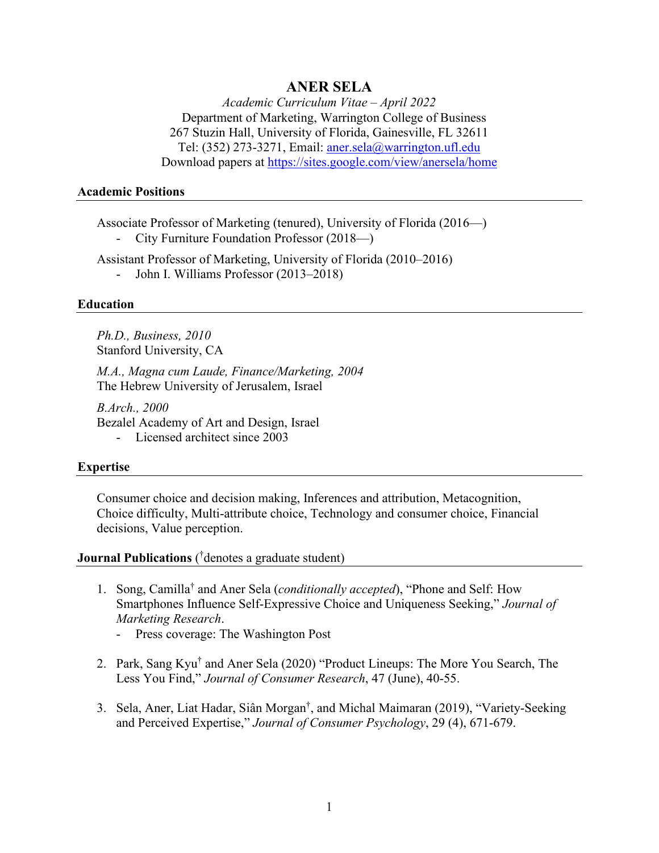# **ANER SELA**

*Academic Curriculum Vitae – April 2022*  Department of Marketing, Warrington College of Business 267 Stuzin Hall, University of Florida, Gainesville, FL 32611 Tel: (352) 273-3271, Email: [aner.sela@warrington.ufl.edu](mailto:aner.sela@warrington.ufl.edu)  Download papers at<https://sites.google.com/view/anersela/home>

#### **Academic Positions**

Associate Professor of Marketing (tenured), University of Florida (2016—) - City Furniture Foundation Professor (2018—)

Assistant Professor of Marketing, University of Florida (2010–2016)

- John I. Williams Professor (2013–2018)

#### **Education**

*Ph.D., Business, 2010*  Stanford University, CA

*M.A., Magna cum Laude, Finance/Marketing, 2004*  The Hebrew University of Jerusalem, Israel

*B.Arch., 2000*  Bezalel Academy of Art and Design, Israel

- Licensed architect since 2003

### **Expertise**

Consumer choice and decision making, Inferences and attribution, Metacognition, Choice difficulty, Multi-attribute choice, Technology and consumer choice, Financial decisions, Value perception.

# **Journal Publications** ( † denotes a graduate student)

- 1. Song, Camilla† and Aner Sela (*conditionally accepted*), "Phone and Self: How Smartphones Influence Self-Expressive Choice and Uniqueness Seeking," *Journal of Marketing Research*.
	- Press coverage: The Washington Post
- 2. Park, Sang Kyu<sup>†</sup> and Aner Sela (2020) "Product Lineups: The More You Search, The Less You Find," *Journal of Consumer Research*, 47 (June), 40-55.
- 3. Sela, Aner, Liat Hadar, Siân Morgan† , and Michal Maimaran (2019), "Variety-Seeking and Perceived Expertise," *Journal of Consumer Psychology*, 29 (4), 671-679.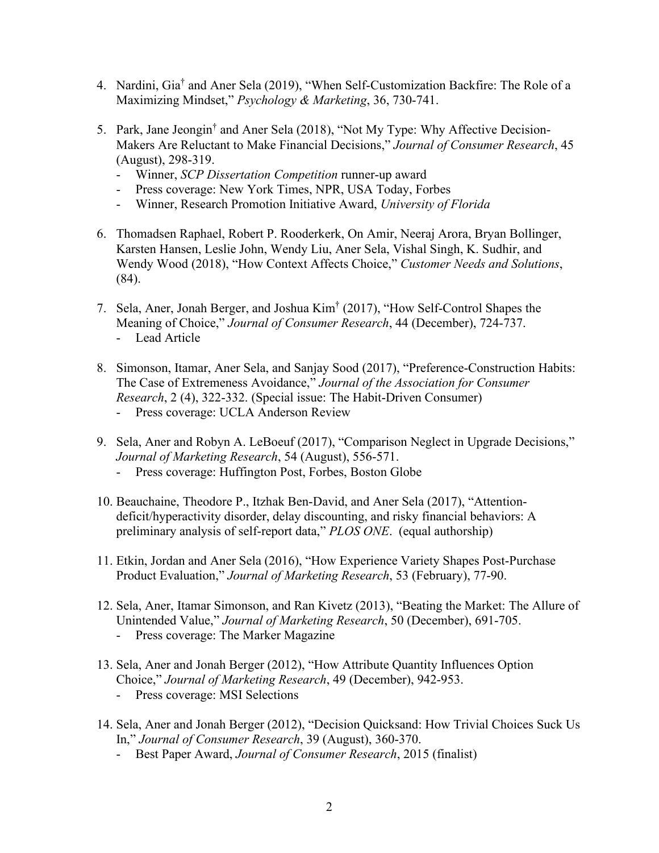- 4. Nardini, Gia† and Aner Sela (2019), "When Self-Customization Backfire: The Role of a Maximizing Mindset," *Psychology & Marketing*, 36, 730-741.
- 5. Park, Jane Jeongin† and Aner Sela (2018), "Not My Type: Why Affective Decision-Makers Are Reluctant to Make Financial Decisions," *Journal of Consumer Research*, 45 (August), 298-319.
	- Winner, *SCP Dissertation Competition* runner-up award
	- Press coverage: New York Times, NPR, USA Today, Forbes
	- Winner, Research Promotion Initiative Award, *University of Florida*
- 6. Thomadsen Raphael, Robert P. Rooderkerk, On Amir, Neeraj Arora, Bryan Bollinger, Karsten Hansen, Leslie John, Wendy Liu, Aner Sela, Vishal Singh, K. Sudhir, and Wendy Wood (2018), "How Context Affects Choice," *Customer Needs and Solutions*, (84).
- 7. Sela, Aner, Jonah Berger, and Joshua Kim† (2017), "How Self-Control Shapes the Meaning of Choice," *Journal of Consumer Research*, 44 (December), 724-737.
	- Lead Article
- 8. Simonson, Itamar, Aner Sela, and Sanjay Sood (2017), "Preference-Construction Habits: The Case of Extremeness Avoidance," *Journal of the Association for Consumer Research*, 2 (4), 322-332. (Special issue: The Habit-Driven Consumer)
	- Press coverage: UCLA Anderson Review
- 9. Sela, Aner and Robyn A. LeBoeuf (2017), "Comparison Neglect in Upgrade Decisions," *Journal of Marketing Research*, 54 (August), 556-571.
	- Press coverage: Huffington Post, Forbes, Boston Globe
- 10. Beauchaine, Theodore P., Itzhak Ben-David, and Aner Sela (2017), "Attentiondeficit/hyperactivity disorder, delay discounting, and risky financial behaviors: A preliminary analysis of self-report data," *PLOS ONE*. (equal authorship)
- 11. Etkin, Jordan and Aner Sela (2016), "How Experience Variety Shapes Post-Purchase Product Evaluation," *Journal of Marketing Research*, 53 (February), 77-90.
- 12. Sela, Aner, Itamar Simonson, and Ran Kivetz (2013), "Beating the Market: The Allure of Unintended Value," *Journal of Marketing Research*, 50 (December), 691-705.
	- Press coverage: The Marker Magazine
- 13. Sela, Aner and Jonah Berger (2012), "How Attribute Quantity Influences Option Choice," *Journal of Marketing Research*, 49 (December), 942-953.
	- Press coverage: MSI Selections
- 14. Sela, Aner and Jonah Berger (2012), "Decision Quicksand: How Trivial Choices Suck Us In," *Journal of Consumer Research*, 39 (August), 360-370.
	- Best Paper Award, *Journal of Consumer Research*, 2015 (finalist)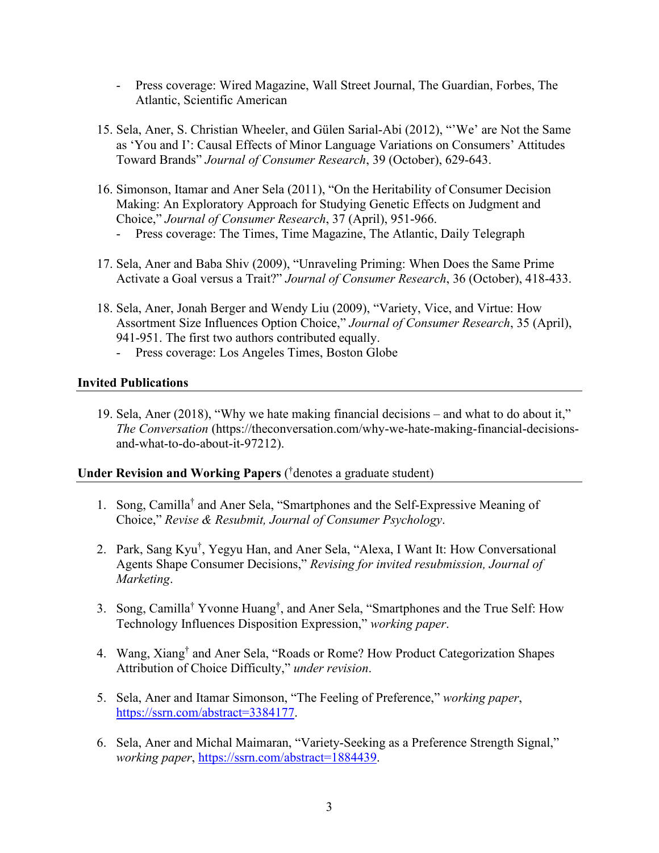- Press coverage: Wired Magazine, Wall Street Journal, The Guardian, Forbes, The Atlantic, Scientific American
- 15. Sela, Aner, S. Christian Wheeler, and Gülen Sarial-Abi (2012), "'We' are Not the Same as 'You and I': Causal Effects of Minor Language Variations on Consumers' Attitudes Toward Brands" *Journal of Consumer Research*, 39 (October), 629-643.
- 16. Simonson, Itamar and Aner Sela (2011), "On the Heritability of Consumer Decision Making: An Exploratory Approach for Studying Genetic Effects on Judgment and Choice," *Journal of Consumer Research*, 37 (April), 951-966.
	- Press coverage: The Times, Time Magazine, The Atlantic, Daily Telegraph
- 17. Sela, Aner and Baba Shiv (2009), "Unraveling Priming: When Does the Same Prime Activate a Goal versus a Trait?" *Journal of Consumer Research*, 36 (October), 418-433.
- 18. Sela, Aner, Jonah Berger and Wendy Liu (2009), "Variety, Vice, and Virtue: How Assortment Size Influences Option Choice," *Journal of Consumer Research*, 35 (April), 941-951. The first two authors contributed equally.
	- Press coverage: Los Angeles Times, Boston Globe

# **Invited Publications**

19. Sela, Aner (2018), "Why we hate making financial decisions – and what to do about it," *The Conversation* (https://theconversation.com/why-we-hate-making-financial-decisionsand-what-to-do-about-it-97212).

# **Under Revision and Working Papers** ( † denotes a graduate student)

- 1. Song, Camilla† and Aner Sela, "Smartphones and the Self-Expressive Meaning of Choice," *Revise & Resubmit, Journal of Consumer Psychology*.
- 2. Park, Sang Kyu† , Yegyu Han, and Aner Sela, "Alexa, I Want It: How Conversational Agents Shape Consumer Decisions," *Revising for invited resubmission, Journal of Marketing*.
- 3. Song, Camilla† Yvonne Huang† , and Aner Sela, "Smartphones and the True Self: How Technology Influences Disposition Expression," *working paper*.
- 4. Wang, Xiang† and Aner Sela, "Roads or Rome? How Product Categorization Shapes Attribution of Choice Difficulty," *under revision*.
- 5. Sela, Aner and Itamar Simonson, "The Feeling of Preference," *working paper*, [https://ssrn.com/abstract=3384177.](https://ssrn.com/abstract=3384177)
- 6. Sela, Aner and Michal Maimaran, "Variety-Seeking as a Preference Strength Signal," *working paper*, [https://ssrn.com/abstract=1884439.](https://ssrn.com/abstract=1884439)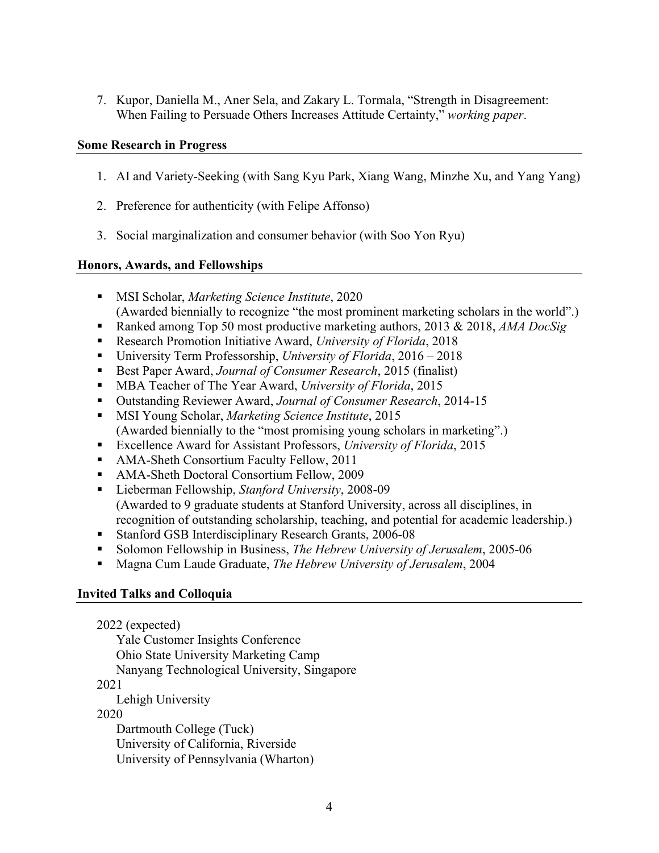7. Kupor, Daniella M., Aner Sela, and Zakary L. Tormala, "Strength in Disagreement: When Failing to Persuade Others Increases Attitude Certainty," *working paper*.

### **Some Research in Progress**

- 1. AI and Variety-Seeking (with Sang Kyu Park, Xiang Wang, Minzhe Xu, and Yang Yang)
- 2. Preference for authenticity (with Felipe Affonso)
- 3. Social marginalization and consumer behavior (with Soo Yon Ryu)

### **Honors, Awards, and Fellowships**

- MSI Scholar, *Marketing Science Institute*, 2020 (Awarded biennially to recognize "the most prominent marketing scholars in the world".)
- Ranked among Top 50 most productive marketing authors, 2013 & 2018, *AMA DocSig*
- Research Promotion Initiative Award, *University of Florida*, 2018
- University Term Professorship, *University of Florida*, 2016 2018
- Best Paper Award, *Journal of Consumer Research*, 2015 (finalist)
- MBA Teacher of The Year Award, *University of Florida*, 2015
- Outstanding Reviewer Award, *Journal of Consumer Research*, 2014-15
- MSI Young Scholar, *Marketing Science Institute*, 2015 (Awarded biennially to the "most promising young scholars in marketing".)
- Excellence Award for Assistant Professors, *University of Florida*, 2015
- AMA-Sheth Consortium Faculty Fellow, 2011
- AMA-Sheth Doctoral Consortium Fellow, 2009
- Lieberman Fellowship, *Stanford University*, 2008-09 (Awarded to 9 graduate students at Stanford University, across all disciplines, in recognition of outstanding scholarship, teaching, and potential for academic leadership.)
- Stanford GSB Interdisciplinary Research Grants, 2006-08
- Solomon Fellowship in Business, *The Hebrew University of Jerusalem*, 2005-06
- Magna Cum Laude Graduate, *The Hebrew University of Jerusalem*, 2004

#### **Invited Talks and Colloquia**

2022 (expected) Yale Customer Insights Conference Ohio State University Marketing Camp Nanyang Technological University, Singapore 2021 Lehigh University 2020 Dartmouth College (Tuck) University of California, Riverside University of Pennsylvania (Wharton)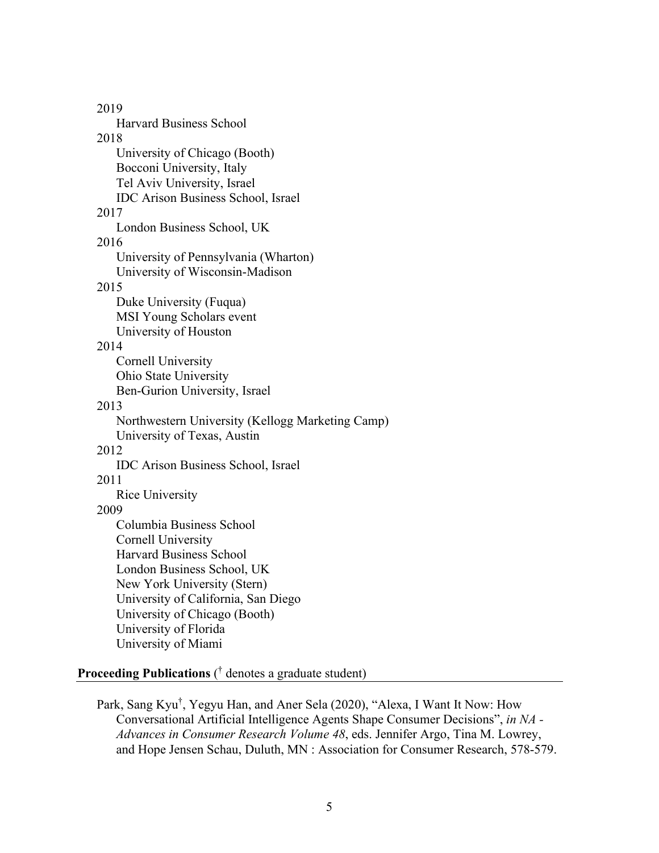2019 Harvard Business School 2018 University of Chicago (Booth) Bocconi University, Italy Tel Aviv University, Israel IDC Arison Business School, Israel 2017 London Business School, UK 2016 University of Pennsylvania (Wharton) University of Wisconsin-Madison 2015 Duke University (Fuqua) MSI Young Scholars event University of Houston 2014 Cornell University Ohio State University Ben-Gurion University, Israel 2013 Northwestern University (Kellogg Marketing Camp) University of Texas, Austin 2012 IDC Arison Business School, Israel 2011 Rice University 2009 Columbia Business School Cornell University Harvard Business School London Business School, UK New York University (Stern) University of California, San Diego University of Chicago (Booth) University of Florida University of Miami

# **Proceeding Publications** ( † denotes a graduate student)

Park, Sang Kyu† , Yegyu Han, and Aner Sela (2020), "Alexa, I Want It Now: How Conversational Artificial Intelligence Agents Shape Consumer Decisions", *in NA - Advances in Consumer Research Volume 48*, eds. Jennifer Argo, Tina M. Lowrey, and Hope Jensen Schau, Duluth, MN : Association for Consumer Research, 578-579.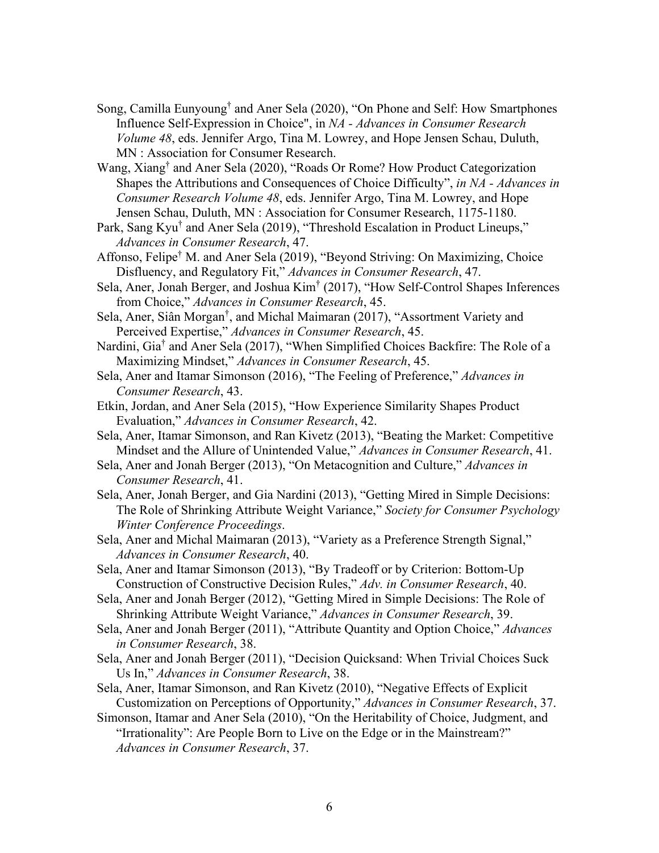- Song, Camilla Eunyoung† and Aner Sela (2020), "On Phone and Self: How Smartphones Influence Self-Expression in Choice", in *NA - Advances in Consumer Research Volume 48*, eds. Jennifer Argo, Tina M. Lowrey, and Hope Jensen Schau, Duluth, MN : Association for Consumer Research.
- Wang, Xiang† and Aner Sela (2020), "Roads Or Rome? How Product Categorization Shapes the Attributions and Consequences of Choice Difficulty", *in NA - Advances in Consumer Research Volume 48*, eds. Jennifer Argo, Tina M. Lowrey, and Hope Jensen Schau, Duluth, MN : Association for Consumer Research, 1175-1180.
- Park, Sang Kyu<sup>†</sup> and Aner Sela (2019), "Threshold Escalation in Product Lineups," *Advances in Consumer Research*, 47.
- Affonso, Felipe† M. and Aner Sela (2019), "Beyond Striving: On Maximizing, Choice Disfluency, and Regulatory Fit," *Advances in Consumer Research*, 47.
- Sela, Aner, Jonah Berger, and Joshua Kim† (2017), "How Self-Control Shapes Inferences from Choice," *Advances in Consumer Research*, 45.
- Sela, Aner, Siân Morgan<sup>†</sup>, and Michal Maimaran (2017), "Assortment Variety and Perceived Expertise," *Advances in Consumer Research*, 45.
- Nardini, Gia† and Aner Sela (2017), "When Simplified Choices Backfire: The Role of a Maximizing Mindset," *Advances in Consumer Research*, 45.
- Sela, Aner and Itamar Simonson (2016), "The Feeling of Preference," *Advances in Consumer Research*, 43.
- Etkin, Jordan, and Aner Sela (2015), "How Experience Similarity Shapes Product Evaluation," *Advances in Consumer Research*, 42.
- Sela, Aner, Itamar Simonson, and Ran Kivetz (2013), "Beating the Market: Competitive Mindset and the Allure of Unintended Value," *Advances in Consumer Research*, 41.
- Sela, Aner and Jonah Berger (2013), "On Metacognition and Culture," *Advances in Consumer Research*, 41.
- Sela, Aner, Jonah Berger, and Gia Nardini (2013), "Getting Mired in Simple Decisions: The Role of Shrinking Attribute Weight Variance," *Society for Consumer Psychology Winter Conference Proceedings*.
- Sela, Aner and Michal Maimaran (2013), "Variety as a Preference Strength Signal," *Advances in Consumer Research*, 40.

Sela, Aner and Itamar Simonson (2013), "By Tradeoff or by Criterion: Bottom-Up Construction of Constructive Decision Rules," *Adv. in Consumer Research*, 40.

- Sela, Aner and Jonah Berger (2012), "Getting Mired in Simple Decisions: The Role of Shrinking Attribute Weight Variance," *Advances in Consumer Research*, 39.
- Sela, Aner and Jonah Berger (2011), "Attribute Quantity and Option Choice," *Advances in Consumer Research*, 38.
- Sela, Aner and Jonah Berger (2011), "Decision Quicksand: When Trivial Choices Suck Us In," *Advances in Consumer Research*, 38.
- Sela, Aner, Itamar Simonson, and Ran Kivetz (2010), "Negative Effects of Explicit Customization on Perceptions of Opportunity," *Advances in Consumer Research*, 37.
- Simonson, Itamar and Aner Sela (2010), "On the Heritability of Choice, Judgment, and "Irrationality": Are People Born to Live on the Edge or in the Mainstream?" *Advances in Consumer Research*, 37.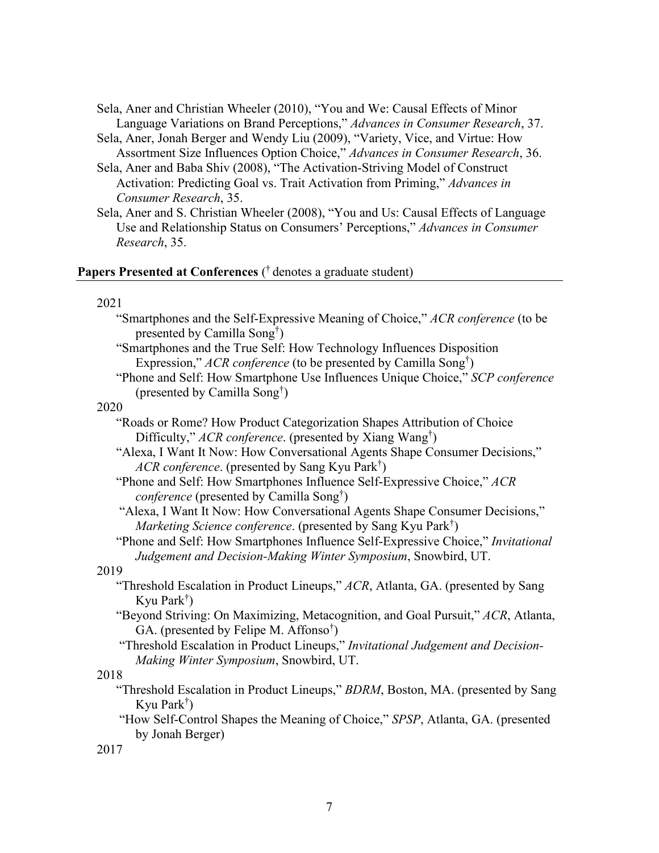- Sela, Aner and Christian Wheeler (2010), "You and We: Causal Effects of Minor Language Variations on Brand Perceptions," *Advances in Consumer Research*, 37.
- Sela, Aner, Jonah Berger and Wendy Liu (2009), "Variety, Vice, and Virtue: How Assortment Size Influences Option Choice," *Advances in Consumer Research*, 36.
- Sela, Aner and Baba Shiv (2008), "The Activation-Striving Model of Construct Activation: Predicting Goal vs. Trait Activation from Priming," *Advances in Consumer Research*, 35.
- Sela, Aner and S. Christian Wheeler (2008), "You and Us: Causal Effects of Language Use and Relationship Status on Consumers' Perceptions," *Advances in Consumer Research*, 35.

# Papers Presented at Conferences (<sup>†</sup> denotes a graduate student)

#### 2021

- "Smartphones and the Self-Expressive Meaning of Choice," *ACR conference* (to be presented by Camilla Song† )
- "Smartphones and the True Self: How Technology Influences Disposition Expression," *ACR conference* (to be presented by Camilla Song† )
- "Phone and Self: How Smartphone Use Influences Unique Choice," *SCP conference* (presented by Camilla Song† )

#### 2020

- "Roads or Rome? How Product Categorization Shapes Attribution of Choice Difficulty," *ACR conference*. (presented by Xiang Wang† )
- "Alexa, I Want It Now: How Conversational Agents Shape Consumer Decisions," *ACR conference*. (presented by Sang Kyu Park† )
- "Phone and Self: How Smartphones Influence Self-Expressive Choice," *ACR conference* (presented by Camilla Song† )
- "Alexa, I Want It Now: How Conversational Agents Shape Consumer Decisions," *Marketing Science conference*. (presented by Sang Kyu Park† )
- "Phone and Self: How Smartphones Influence Self-Expressive Choice," *Invitational Judgement and Decision-Making Winter Symposium*, Snowbird, UT.

### 2019

- "Threshold Escalation in Product Lineups," *ACR*, Atlanta, GA. (presented by Sang Kyu Park† )
- "Beyond Striving: On Maximizing, Metacognition, and Goal Pursuit," *ACR*, Atlanta, GA. (presented by Felipe M. Affonso<sup>†</sup>)
- "Threshold Escalation in Product Lineups," *Invitational Judgement and Decision-Making Winter Symposium*, Snowbird, UT.

### 2018

- "Threshold Escalation in Product Lineups," *BDRM*, Boston, MA. (presented by Sang Kyu Park† )
- "How Self-Control Shapes the Meaning of Choice," *SPSP*, Atlanta, GA. (presented by Jonah Berger)

2017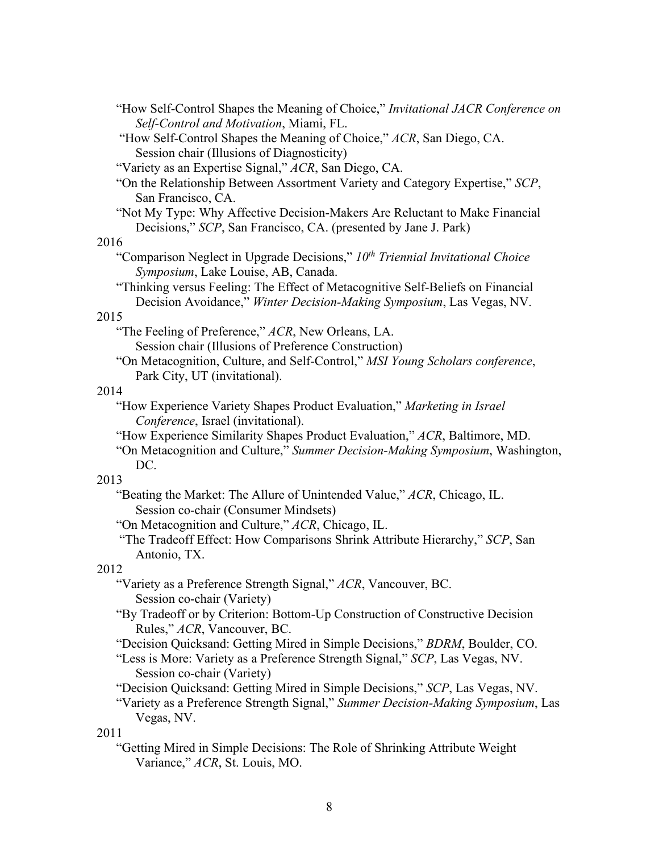- "How Self-Control Shapes the Meaning of Choice," *Invitational JACR Conference on Self-Control and Motivation*, Miami, FL.
- "How Self-Control Shapes the Meaning of Choice," *ACR*, San Diego, CA. Session chair (Illusions of Diagnosticity)
- "Variety as an Expertise Signal," *ACR*, San Diego, CA.
- "On the Relationship Between Assortment Variety and Category Expertise," *SCP*, San Francisco, CA.
- "Not My Type: Why Affective Decision-Makers Are Reluctant to Make Financial Decisions," *SCP*, San Francisco, CA. (presented by Jane J. Park)

#### 2016

- "Comparison Neglect in Upgrade Decisions," *10th Triennial Invitational Choice Symposium*, Lake Louise, AB, Canada.
- "Thinking versus Feeling: The Effect of Metacognitive Self-Beliefs on Financial Decision Avoidance," *Winter Decision-Making Symposium*, Las Vegas, NV.

### 2015

- "The Feeling of Preference," *ACR*, New Orleans, LA. Session chair (Illusions of Preference Construction)
- "On Metacognition, Culture, and Self-Control," *MSI Young Scholars conference*, Park City, UT (invitational).

## 2014

- "How Experience Variety Shapes Product Evaluation," *Marketing in Israel Conference*, Israel (invitational).
- "How Experience Similarity Shapes Product Evaluation," *ACR*, Baltimore, MD.
- "On Metacognition and Culture," *Summer Decision-Making Symposium*, Washington, DC.

### 2013

- "Beating the Market: The Allure of Unintended Value," *ACR*, Chicago, IL. Session co-chair (Consumer Mindsets)
- "On Metacognition and Culture," *ACR*, Chicago, IL.
- "The Tradeoff Effect: How Comparisons Shrink Attribute Hierarchy," *SCP*, San Antonio, TX.

## 2012

- "Variety as a Preference Strength Signal," *ACR*, Vancouver, BC. Session co-chair (Variety)
- "By Tradeoff or by Criterion: Bottom-Up Construction of Constructive Decision Rules," *ACR*, Vancouver, BC.
- "Decision Quicksand: Getting Mired in Simple Decisions," *BDRM*, Boulder, CO.
- "Less is More: Variety as a Preference Strength Signal," *SCP*, Las Vegas, NV. Session co-chair (Variety)
- "Decision Quicksand: Getting Mired in Simple Decisions," *SCP*, Las Vegas, NV.
- "Variety as a Preference Strength Signal," *Summer Decision-Making Symposium*, Las Vegas, NV.

### 2011

"Getting Mired in Simple Decisions: The Role of Shrinking Attribute Weight Variance," *ACR*, St. Louis, MO.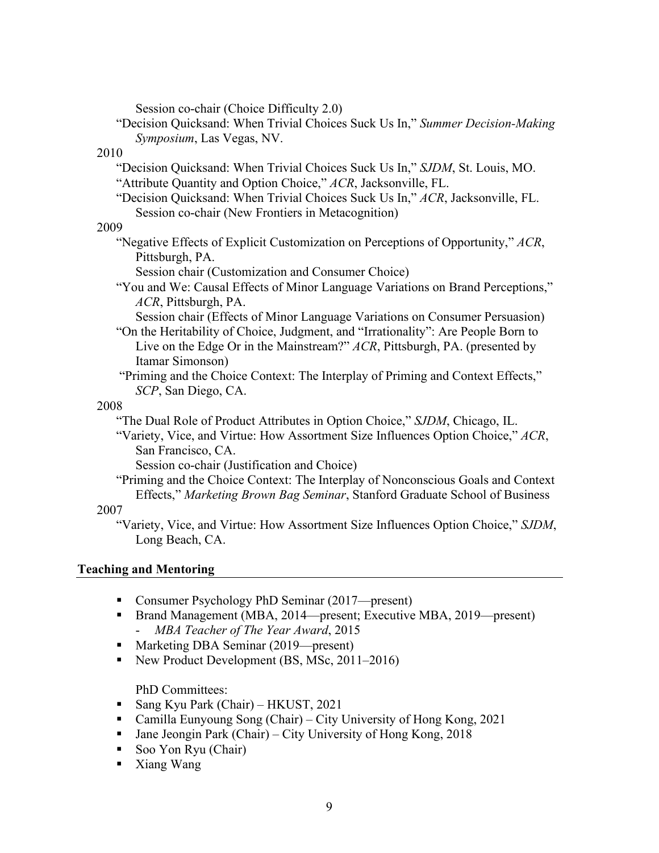Session co-chair (Choice Difficulty 2.0)

"Decision Quicksand: When Trivial Choices Suck Us In," *Summer Decision-Making Symposium*, Las Vegas, NV.

### 2010

- "Decision Quicksand: When Trivial Choices Suck Us In," *SJDM*, St. Louis, MO. "Attribute Quantity and Option Choice," *ACR*, Jacksonville, FL.
- "Decision Quicksand: When Trivial Choices Suck Us In," *ACR*, Jacksonville, FL. Session co-chair (New Frontiers in Metacognition)

## 2009

"Negative Effects of Explicit Customization on Perceptions of Opportunity," *ACR*, Pittsburgh, PA.

Session chair (Customization and Consumer Choice)

"You and We: Causal Effects of Minor Language Variations on Brand Perceptions," *ACR*, Pittsburgh, PA.

Session chair (Effects of Minor Language Variations on Consumer Persuasion) "On the Heritability of Choice, Judgment, and "Irrationality": Are People Born to Live on the Edge Or in the Mainstream?" *ACR*, Pittsburgh, PA. (presented by Itamar Simonson)

 "Priming and the Choice Context: The Interplay of Priming and Context Effects," *SCP*, San Diego, CA.

# 2008

"The Dual Role of Product Attributes in Option Choice," *SJDM*, Chicago, IL.

"Variety, Vice, and Virtue: How Assortment Size Influences Option Choice," *ACR*, San Francisco, CA.

```
Session co-chair (Justification and Choice)
```
"Priming and the Choice Context: The Interplay of Nonconscious Goals and Context Effects," *Marketing Brown Bag Seminar*, Stanford Graduate School of Business

# 2007

"Variety, Vice, and Virtue: How Assortment Size Influences Option Choice," *SJDM*, Long Beach, CA.

# **Teaching and Mentoring**

- Consumer Psychology PhD Seminar (2017—present)
- Brand Management (MBA, 2014—present; Executive MBA, 2019—present) - *MBA Teacher of The Year Award*, 2015
- Marketing DBA Seminar (2019—present)
- New Product Development (BS, MSc, 2011–2016)

PhD Committees:

- Sang Kyu Park (Chair) HKUST, 2021
- Camilla Eunyoung Song (Chair) City University of Hong Kong, 2021
- $\blacksquare$  Jane Jeongin Park (Chair) City University of Hong Kong, 2018
- Soo Yon Ryu (Chair)
- Xiang Wang